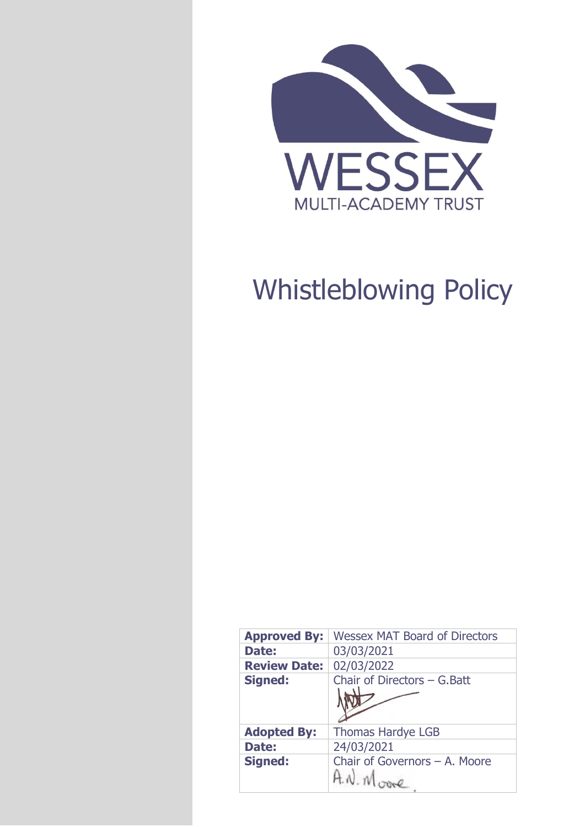

# Whistleblowing Policy

| <b>Approved By:</b> | <b>Wessex MAT Board of Directors</b>   |  |
|---------------------|----------------------------------------|--|
| <b>Date:</b>        | 03/03/2021                             |  |
| <b>Review Date:</b> | 02/03/2022                             |  |
| <b>Signed:</b>      | Chair of Directors $-$ G. Batt         |  |
| <b>Adopted By:</b>  | <b>Thomas Hardye LGB</b>               |  |
| Date:               | 24/03/2021                             |  |
| <b>Signed:</b>      | Chair of Governors - A. Moore<br>A N M |  |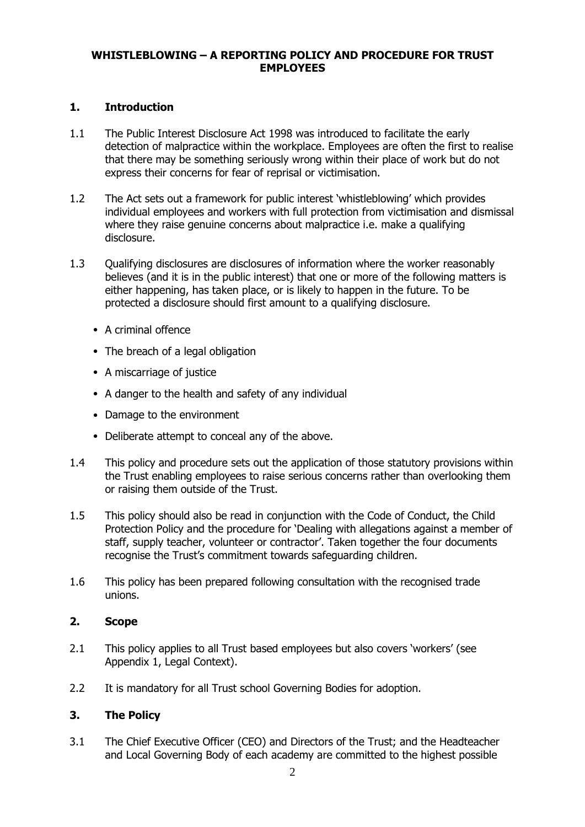## **WHISTLEBLOWING – A REPORTING POLICY AND PROCEDURE FOR TRUST EMPLOYEES**

#### **1. Introduction**

- 1.1 The Public Interest Disclosure Act 1998 was introduced to facilitate the early detection of malpractice within the workplace. Employees are often the first to realise that there may be something seriously wrong within their place of work but do not express their concerns for fear of reprisal or victimisation.
- 1.2 The Act sets out a framework for public interest 'whistleblowing' which provides individual employees and workers with full protection from victimisation and dismissal where they raise genuine concerns about malpractice i.e. make a qualifying disclosure.
- 1.3 Qualifying disclosures are disclosures of information where the worker reasonably believes (and it is in the public interest) that one or more of the following matters is either happening, has taken place, or is likely to happen in the future. To be protected a disclosure should first amount to a qualifying disclosure.
	- A criminal offence
	- The breach of a legal obligation
	- A miscarriage of justice
	- A danger to the health and safety of any individual
	- Damage to the environment
	- Deliberate attempt to conceal any of the above.
- 1.4 This policy and procedure sets out the application of those statutory provisions within the Trust enabling employees to raise serious concerns rather than overlooking them or raising them outside of the Trust.
- 1.5 This policy should also be read in conjunction with the Code of Conduct, the Child Protection Policy and the procedure for 'Dealing with allegations against a member of staff, supply teacher, volunteer or contractor'. Taken together the four documents recognise the Trust's commitment towards safeguarding children.
- 1.6 This policy has been prepared following consultation with the recognised trade unions.

## **2. Scope**

- 2.1 This policy applies to all Trust based employees but also covers 'workers' (see Appendix 1, Legal Context).
- 2.2 It is mandatory for all Trust school Governing Bodies for adoption.

## **3. The Policy**

3.1 The Chief Executive Officer (CEO) and Directors of the Trust; and the Headteacher and Local Governing Body of each academy are committed to the highest possible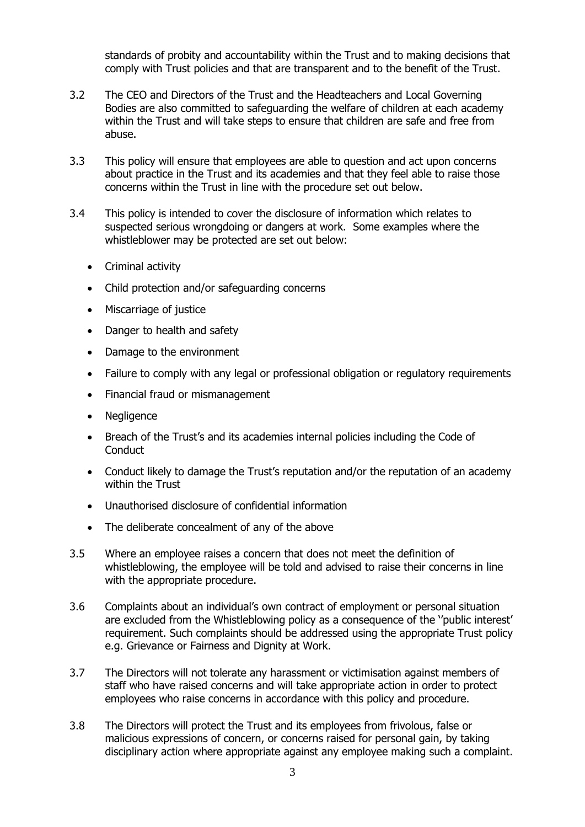standards of probity and accountability within the Trust and to making decisions that comply with Trust policies and that are transparent and to the benefit of the Trust.

- 3.2 The CEO and Directors of the Trust and the Headteachers and Local Governing Bodies are also committed to safeguarding the welfare of children at each academy within the Trust and will take steps to ensure that children are safe and free from abuse.
- 3.3 This policy will ensure that employees are able to question and act upon concerns about practice in the Trust and its academies and that they feel able to raise those concerns within the Trust in line with the procedure set out below.
- 3.4 This policy is intended to cover the disclosure of information which relates to suspected serious wrongdoing or dangers at work. Some examples where the whistleblower may be protected are set out below:
	- Criminal activity
	- Child protection and/or safeguarding concerns
	- Miscarriage of justice
	- Danger to health and safety
	- Damage to the environment
	- Failure to comply with any legal or professional obligation or regulatory requirements
	- Financial fraud or mismanagement
	- Negligence
	- Breach of the Trust's and its academies internal policies including the Code of **Conduct**
	- Conduct likely to damage the Trust's reputation and/or the reputation of an academy within the Trust
	- Unauthorised disclosure of confidential information
	- The deliberate concealment of any of the above
- 3.5 Where an employee raises a concern that does not meet the definition of whistleblowing, the employee will be told and advised to raise their concerns in line with the appropriate procedure.
- 3.6 Complaints about an individual's own contract of employment or personal situation are excluded from the Whistleblowing policy as a consequence of the ''public interest' requirement. Such complaints should be addressed using the appropriate Trust policy e.g. Grievance or Fairness and Dignity at Work.
- 3.7 The Directors will not tolerate any harassment or victimisation against members of staff who have raised concerns and will take appropriate action in order to protect employees who raise concerns in accordance with this policy and procedure.
- 3.8 The Directors will protect the Trust and its employees from frivolous, false or malicious expressions of concern, or concerns raised for personal gain, by taking disciplinary action where appropriate against any employee making such a complaint.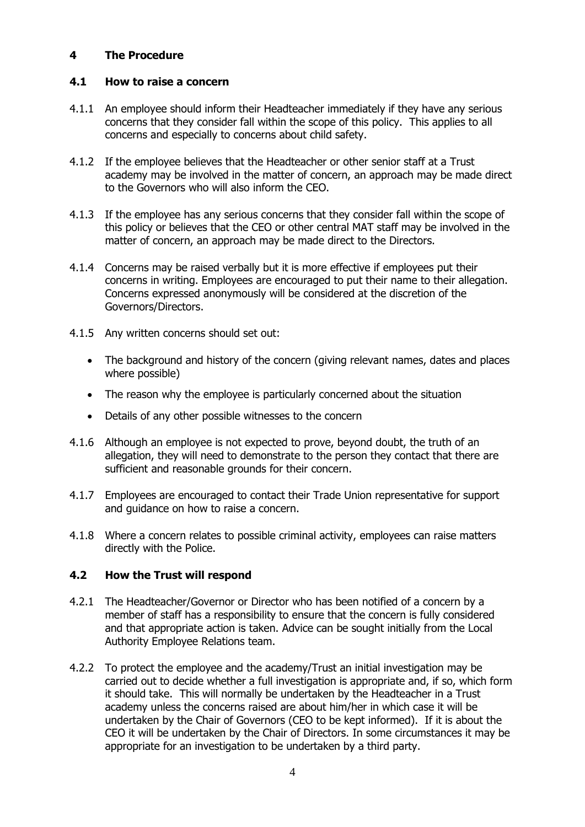## **4 The Procedure**

## **4.1 How to raise a concern**

- 4.1.1 An employee should inform their Headteacher immediately if they have any serious concerns that they consider fall within the scope of this policy. This applies to all concerns and especially to concerns about child safety.
- 4.1.2 If the employee believes that the Headteacher or other senior staff at a Trust academy may be involved in the matter of concern, an approach may be made direct to the Governors who will also inform the CEO.
- 4.1.3 If the employee has any serious concerns that they consider fall within the scope of this policy or believes that the CEO or other central MAT staff may be involved in the matter of concern, an approach may be made direct to the Directors.
- 4.1.4 Concerns may be raised verbally but it is more effective if employees put their concerns in writing. Employees are encouraged to put their name to their allegation. Concerns expressed anonymously will be considered at the discretion of the Governors/Directors.
- 4.1.5 Any written concerns should set out:
	- The background and history of the concern (giving relevant names, dates and places where possible)
	- The reason why the employee is particularly concerned about the situation
	- Details of any other possible witnesses to the concern
- 4.1.6 Although an employee is not expected to prove, beyond doubt, the truth of an allegation, they will need to demonstrate to the person they contact that there are sufficient and reasonable grounds for their concern.
- 4.1.7 Employees are encouraged to contact their Trade Union representative for support and guidance on how to raise a concern.
- 4.1.8 Where a concern relates to possible criminal activity, employees can raise matters directly with the Police.

## **4.2 How the Trust will respond**

- 4.2.1 The Headteacher/Governor or Director who has been notified of a concern by a member of staff has a responsibility to ensure that the concern is fully considered and that appropriate action is taken. Advice can be sought initially from the Local Authority Employee Relations team.
- 4.2.2 To protect the employee and the academy/Trust an initial investigation may be carried out to decide whether a full investigation is appropriate and, if so, which form it should take. This will normally be undertaken by the Headteacher in a Trust academy unless the concerns raised are about him/her in which case it will be undertaken by the Chair of Governors (CEO to be kept informed). If it is about the CEO it will be undertaken by the Chair of Directors. In some circumstances it may be appropriate for an investigation to be undertaken by a third party.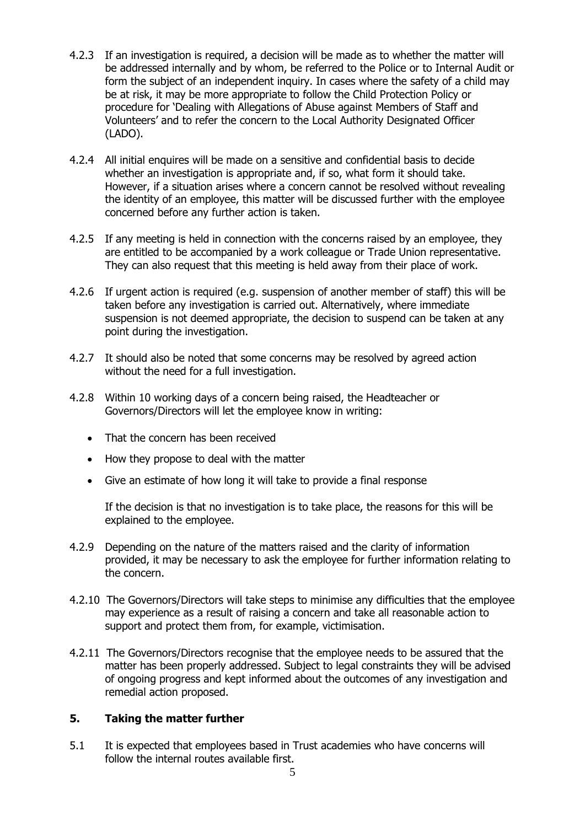- 4.2.3 If an investigation is required, a decision will be made as to whether the matter will be addressed internally and by whom, be referred to the Police or to Internal Audit or form the subject of an independent inquiry. In cases where the safety of a child may be at risk, it may be more appropriate to follow the Child Protection Policy or procedure for 'Dealing with Allegations of Abuse against Members of Staff and Volunteers' and to refer the concern to the Local Authority Designated Officer (LADO).
- 4.2.4 All initial enquires will be made on a sensitive and confidential basis to decide whether an investigation is appropriate and, if so, what form it should take. However, if a situation arises where a concern cannot be resolved without revealing the identity of an employee, this matter will be discussed further with the employee concerned before any further action is taken.
- 4.2.5 If any meeting is held in connection with the concerns raised by an employee, they are entitled to be accompanied by a work colleague or Trade Union representative. They can also request that this meeting is held away from their place of work.
- 4.2.6 If urgent action is required (e.g. suspension of another member of staff) this will be taken before any investigation is carried out. Alternatively, where immediate suspension is not deemed appropriate, the decision to suspend can be taken at any point during the investigation.
- 4.2.7 It should also be noted that some concerns may be resolved by agreed action without the need for a full investigation.
- 4.2.8 Within 10 working days of a concern being raised, the Headteacher or Governors/Directors will let the employee know in writing:
	- That the concern has been received
	- How they propose to deal with the matter
	- Give an estimate of how long it will take to provide a final response

If the decision is that no investigation is to take place, the reasons for this will be explained to the employee.

- 4.2.9 Depending on the nature of the matters raised and the clarity of information provided, it may be necessary to ask the employee for further information relating to the concern.
- 4.2.10 The Governors/Directors will take steps to minimise any difficulties that the employee may experience as a result of raising a concern and take all reasonable action to support and protect them from, for example, victimisation.
- 4.2.11 The Governors/Directors recognise that the employee needs to be assured that the matter has been properly addressed. Subject to legal constraints they will be advised of ongoing progress and kept informed about the outcomes of any investigation and remedial action proposed.

# **5. Taking the matter further**

5.1 It is expected that employees based in Trust academies who have concerns will follow the internal routes available first.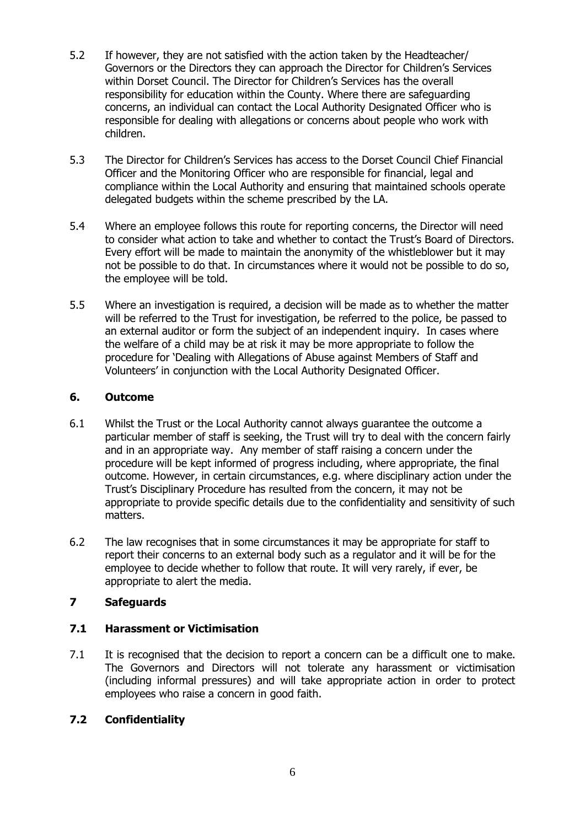- 5.2 If however, they are not satisfied with the action taken by the Headteacher/ Governors or the Directors they can approach the Director for Children's Services within Dorset Council. The Director for Children's Services has the overall responsibility for education within the County. Where there are safeguarding concerns, an individual can contact the Local Authority Designated Officer who is responsible for dealing with allegations or concerns about people who work with children.
- 5.3 The Director for Children's Services has access to the Dorset Council Chief Financial Officer and the Monitoring Officer who are responsible for financial, legal and compliance within the Local Authority and ensuring that maintained schools operate delegated budgets within the scheme prescribed by the LA.
- 5.4 Where an employee follows this route for reporting concerns, the Director will need to consider what action to take and whether to contact the Trust's Board of Directors. Every effort will be made to maintain the anonymity of the whistleblower but it may not be possible to do that. In circumstances where it would not be possible to do so, the employee will be told.
- 5.5 Where an investigation is required, a decision will be made as to whether the matter will be referred to the Trust for investigation, be referred to the police, be passed to an external auditor or form the subject of an independent inquiry. In cases where the welfare of a child may be at risk it may be more appropriate to follow the procedure for 'Dealing with Allegations of Abuse against Members of Staff and Volunteers' in conjunction with the Local Authority Designated Officer.

## **6. Outcome**

- 6.1 Whilst the Trust or the Local Authority cannot always guarantee the outcome a particular member of staff is seeking, the Trust will try to deal with the concern fairly and in an appropriate way. Any member of staff raising a concern under the procedure will be kept informed of progress including, where appropriate, the final outcome. However, in certain circumstances, e.g. where disciplinary action under the Trust's Disciplinary Procedure has resulted from the concern, it may not be appropriate to provide specific details due to the confidentiality and sensitivity of such matters.
- 6.2 The law recognises that in some circumstances it may be appropriate for staff to report their concerns to an external body such as a regulator and it will be for the employee to decide whether to follow that route. It will very rarely, if ever, be appropriate to alert the media.

# **7 Safeguards**

# **7.1 Harassment or Victimisation**

7.1 It is recognised that the decision to report a concern can be a difficult one to make. The Governors and Directors will not tolerate any harassment or victimisation (including informal pressures) and will take appropriate action in order to protect employees who raise a concern in good faith.

# **7.2 Confidentiality**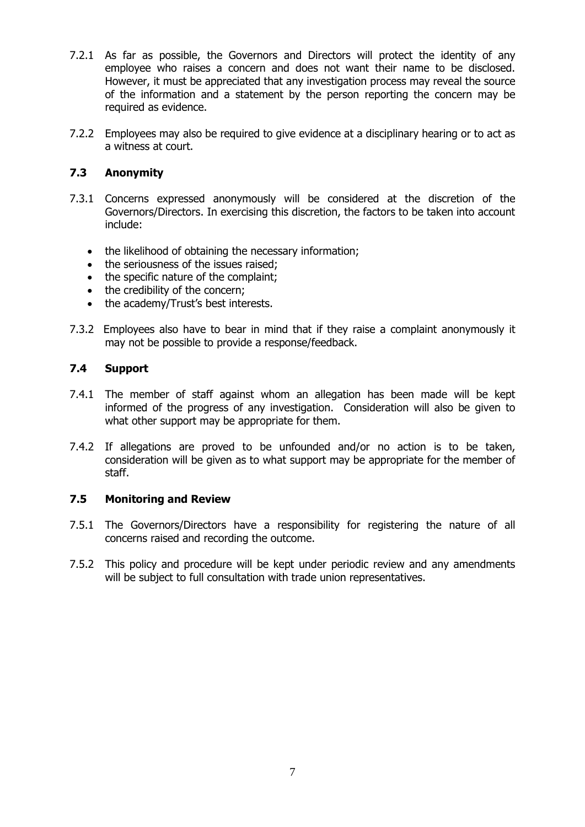- 7.2.1 As far as possible, the Governors and Directors will protect the identity of any employee who raises a concern and does not want their name to be disclosed. However, it must be appreciated that any investigation process may reveal the source of the information and a statement by the person reporting the concern may be required as evidence.
- 7.2.2 Employees may also be required to give evidence at a disciplinary hearing or to act as a witness at court.

## **7.3 Anonymity**

- 7.3.1 Concerns expressed anonymously will be considered at the discretion of the Governors/Directors. In exercising this discretion, the factors to be taken into account include:
	- the likelihood of obtaining the necessary information;
	- the seriousness of the issues raised:
	- the specific nature of the complaint;
	- the credibility of the concern;
	- the academy/Trust's best interests.
- 7.3.2 Employees also have to bear in mind that if they raise a complaint anonymously it may not be possible to provide a response/feedback.

#### **7.4 Support**

- 7.4.1 The member of staff against whom an allegation has been made will be kept informed of the progress of any investigation. Consideration will also be given to what other support may be appropriate for them.
- 7.4.2 If allegations are proved to be unfounded and/or no action is to be taken, consideration will be given as to what support may be appropriate for the member of staff.

#### **7.5 Monitoring and Review**

- 7.5.1 The Governors/Directors have a responsibility for registering the nature of all concerns raised and recording the outcome.
- 7.5.2 This policy and procedure will be kept under periodic review and any amendments will be subject to full consultation with trade union representatives.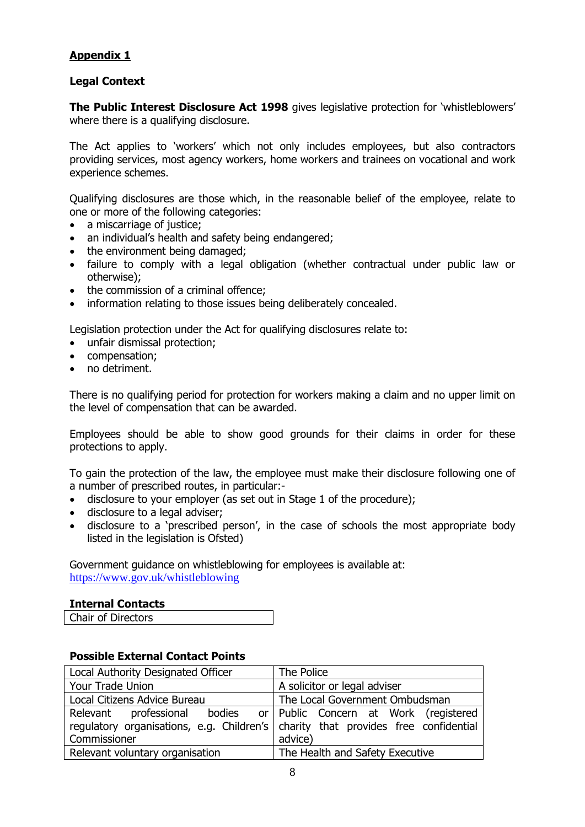# **Appendix 1**

#### **Legal Context**

**The Public Interest Disclosure Act 1998** gives legislative protection for 'whistleblowers' where there is a qualifying disclosure.

The Act applies to 'workers' which not only includes employees, but also contractors providing services, most agency workers, home workers and trainees on vocational and work experience schemes.

Qualifying disclosures are those which, in the reasonable belief of the employee, relate to one or more of the following categories:

- a miscarriage of justice;
- an individual's health and safety being endangered;
- the environment being damaged:
- failure to comply with a legal obligation (whether contractual under public law or otherwise);
- the commission of a criminal offence:
- information relating to those issues being deliberately concealed.

Legislation protection under the Act for qualifying disclosures relate to:

- unfair dismissal protection;
- compensation;
- no detriment.

There is no qualifying period for protection for workers making a claim and no upper limit on the level of compensation that can be awarded.

Employees should be able to show good grounds for their claims in order for these protections to apply.

To gain the protection of the law, the employee must make their disclosure following one of a number of prescribed routes, in particular:-

- disclosure to your employer (as set out in Stage 1 of the procedure);
- disclosure to a legal adviser;
- disclosure to a 'prescribed person', in the case of schools the most appropriate body listed in the legislation is Ofsted)

Government guidance on whistleblowing for employees is available at: <https://www.gov.uk/whistleblowing>

#### **Internal Contacts**

|  | Chair of Directors |  |
|--|--------------------|--|
|--|--------------------|--|

#### **Possible External Contact Points**

| Local Authority Designated Officer                                                | The Police                      |
|-----------------------------------------------------------------------------------|---------------------------------|
| Your Trade Union                                                                  | A solicitor or legal adviser    |
| Local Citizens Advice Bureau                                                      | The Local Government Ombudsman  |
| Relevant professional bodies or Public Concern at Work (registered                |                                 |
| regulatory organisations, e.g. Children's charity that provides free confidential |                                 |
| Commissioner                                                                      | advice)                         |
| Relevant voluntary organisation                                                   | The Health and Safety Executive |